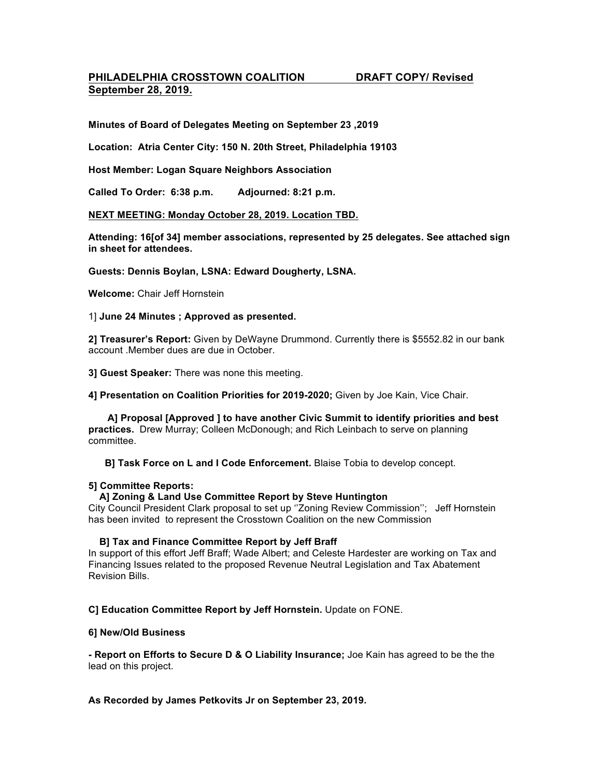# **PHILADELPHIA CROSSTOWN COALITION DRAFT COPY/ Revised September 28, 2019.**

**Minutes of Board of Delegates Meeting on September 23 ,2019**

**Location: Atria Center City: 150 N. 20th Street, Philadelphia 19103**

**Host Member: Logan Square Neighbors Association**

**Called To Order: 6:38 p.m. Adjourned: 8:21 p.m.**

### **NEXT MEETING: Monday October 28, 2019. Location TBD.**

**Attending: 16[of 34] member associations, represented by 25 delegates. See attached sign in sheet for attendees.**

**Guests: Dennis Boylan, LSNA: Edward Dougherty, LSNA.**

**Welcome:** Chair Jeff Hornstein

1] **June 24 Minutes ; Approved as presented.**

**2] Treasurer's Report:** Given by DeWayne Drummond. Currently there is \$5552.82 in our bank account .Member dues are due in October.

**3] Guest Speaker:** There was none this meeting.

**4] Presentation on Coalition Priorities for 2019-2020;** Given by Joe Kain, Vice Chair.

**A] Proposal [Approved ] to have another Civic Summit to identify priorities and best practices.** Drew Murray; Colleen McDonough; and Rich Leinbach to serve on planning committee.

**B] Task Force on L and I Code Enforcement.** Blaise Tobia to develop concept.

### **5] Committee Reports:**

# **A] Zoning & Land Use Committee Report by Steve Huntington**

City Council President Clark proposal to set up ''Zoning Review Commission''; Jeff Hornstein has been invited to represent the Crosstown Coalition on the new Commission

#### **B] Tax and Finance Committee Report by Jeff Braff**

In support of this effort Jeff Braff; Wade Albert; and Celeste Hardester are working on Tax and Financing Issues related to the proposed Revenue Neutral Legislation and Tax Abatement Revision Bills.

**C] Education Committee Report by Jeff Hornstein.** Update on FONE.

#### **6] New/Old Business**

**- Report on Efforts to Secure D & O Liability Insurance;** Joe Kain has agreed to be the the lead on this project.

**As Recorded by James Petkovits Jr on September 23, 2019.**